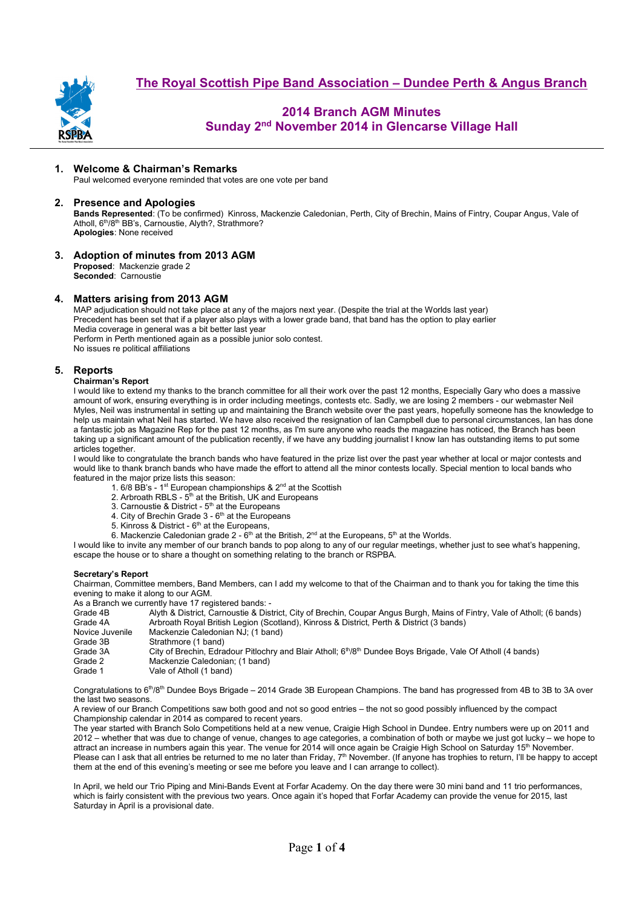

# **2014 Branch AGM Minutes Sunday 2nd November 2014 in Glencarse Village Hall**

# **1. Welcome & Chairman's Remarks**

Paul welcomed everyone reminded that votes are one vote per band

## **2. Presence and Apologies**

**Bands Represented**: (To be confirmed) Kinross, Mackenzie Caledonian, Perth, City of Brechin, Mains of Fintry, Coupar Angus, Vale of Atholl, 6<sup>th</sup>/8<sup>th</sup> BB's, Carnoustie, Alyth?, Strathmore? **Apologies**: None received

**3. Adoption of minutes from 2013 AGM Proposed**: Mackenzie grade 2

**Seconded**: Carnoustie

## **4. Matters arising from 2013 AGM**

MAP adjudication should not take place at any of the majors next year. (Despite the trial at the Worlds last year) Precedent has been set that if a player also plays with a lower grade band, that band has the option to play earlier Media coverage in general was a bit better last year Perform in Perth mentioned again as a possible junior solo contest. No issues re political affiliations

## **5. Reports**

### **Chairman's Report**

I would like to extend my thanks to the branch committee for all their work over the past 12 months, Especially Gary who does a massive amount of work, ensuring everything is in order including meetings, contests etc. Sadly, we are losing 2 members - our webmaster Neil Myles, Neil was instrumental in setting up and maintaining the Branch website over the past years, hopefully someone has the knowledge to help us maintain what Neil has started. We have also received the resignation of Ian Campbell due to personal circumstances, Ian has done a fantastic job as Magazine Rep for the past 12 months, as I'm sure anyone who reads the magazine has noticed, the Branch has been taking up a significant amount of the publication recently, if we have any budding journalist I know Ian has outstanding items to put some articles together.

I would like to congratulate the branch bands who have featured in the prize list over the past year whether at local or major contests and would like to thank branch bands who have made the effort to attend all the minor contests locally. Special mention to local bands who featured in the major prize lists this season:

- 1. 6/8 BB's 1st European championships & 2nd at the Scottish
- 2. Arbroath RBLS 5<sup>th</sup> at the British, UK and Europeans
- 3. Carnoustie & District  $5<sup>th</sup>$  at the Europeans
- 4. City of Brechin Grade  $3$   $6<sup>th</sup>$  at the Europeans
- 5. Kinross & District 6<sup>th</sup> at the Europeans,
- 6. Mackenzie Caledonian grade  $2 6$ <sup>th</sup> at the British,  $2^{nd}$  at the Europeans,  $5^{th}$  at the Worlds.

I would like to invite any member of our branch bands to pop along to any of our regular meetings, whether just to see what's happening, escape the house or to share a thought on something relating to the branch or RSPBA.

### **Secretary's Report**

Chairman, Committee members, Band Members, can I add my welcome to that of the Chairman and to thank you for taking the time this evening to make it along to our AGM.

As a Branch we currently have 17 registered bands: -

|                 | As a bialch we currently have Trifequite for panus. -                                                                                |
|-----------------|--------------------------------------------------------------------------------------------------------------------------------------|
| Grade 4B        | Alyth & District, Carnoustie & District, City of Brechin, Coupar Angus Burgh, Mains of Fintry, Vale of Atholl; (6 bands)             |
| Grade 4A        | Arbroath Royal British Legion (Scotland), Kinross & District, Perth & District (3 bands)                                             |
| Novice Juvenile | Mackenzie Caledonian NJ: (1 band)                                                                                                    |
| Grade 3B        | Strathmore (1 band)                                                                                                                  |
| Grade 3A        | City of Brechin, Edradour Pitlochry and Blair Atholl; 6 <sup>th</sup> /8 <sup>th</sup> Dundee Boys Brigade, Vale Of Atholl (4 bands) |
| Grade 2         | Mackenzie Caledonian; (1 band)                                                                                                       |
| Grade 1         | Vale of Atholl (1 band)                                                                                                              |
|                 |                                                                                                                                      |

Congratulations to 6<sup>th</sup>/8<sup>th</sup> Dundee Boys Brigade – 2014 Grade 3B European Champions. The band has progressed from 4B to 3B to 3A over the last two seasons.

A review of our Branch Competitions saw both good and not so good entries – the not so good possibly influenced by the compact Championship calendar in 2014 as compared to recent years.

The year started with Branch Solo Competitions held at a new venue, Craigie High School in Dundee. Entry numbers were up on 2011 and 2012 – whether that was due to change of venue, changes to age categories, a combination of both or maybe we just got lucky – we hope to attract an increase in numbers again this year. The venue for 2014 will once again be Craigie High School on Saturday 15<sup>th</sup> November. Please can I ask that all entries be returned to me no later than Friday, 7<sup>th</sup> November. (If anyone has trophies to return, I'll be happy to accept them at the end of this evening's meeting or see me before you leave and I can arrange to collect).

In April, we held our Trio Piping and Mini-Bands Event at Forfar Academy. On the day there were 30 mini band and 11 trio performances, which is fairly consistent with the previous two years. Once again it's hoped that Forfar Academy can provide the venue for 2015, last Saturday in April is a provisional date.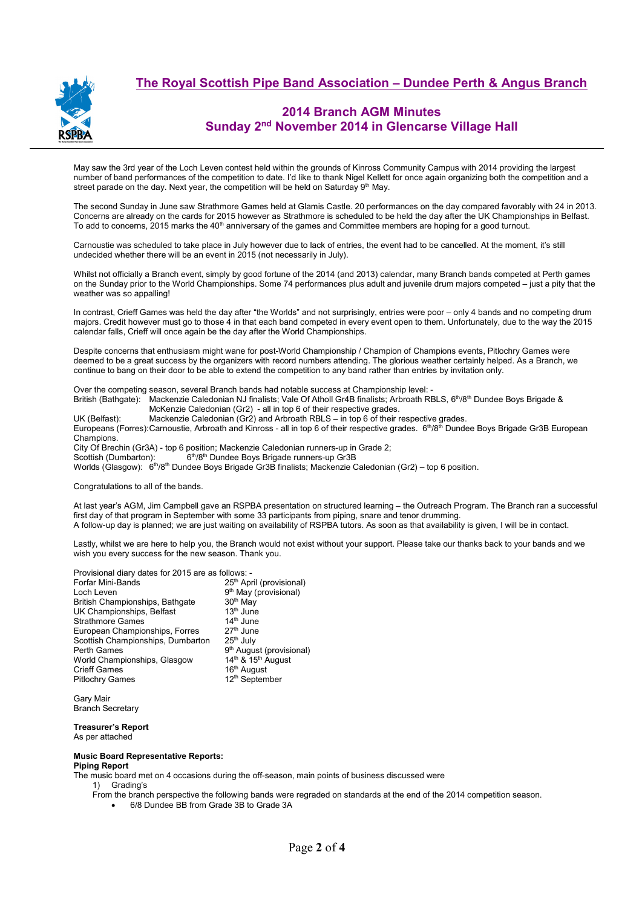



## **2014 Branch AGM Minutes Sunday 2nd November 2014 in Glencarse Village Hall**

May saw the 3rd year of the Loch Leven contest held within the grounds of Kinross Community Campus with 2014 providing the largest number of band performances of the competition to date. I'd like to thank Nigel Kellett for once again organizing both the competition and a street parade on the day. Next year, the competition will be held on Saturday  $9<sup>th</sup>$  May.

The second Sunday in June saw Strathmore Games held at Glamis Castle. 20 performances on the day compared favorably with 24 in 2013. Concerns are already on the cards for 2015 however as Strathmore is scheduled to be held the day after the UK Championships in Belfast. To add to concerns, 2015 marks the 40th anniversary of the games and Committee members are hoping for a good turnout.

Carnoustie was scheduled to take place in July however due to lack of entries, the event had to be cancelled. At the moment, it's still undecided whether there will be an event in 2015 (not necessarily in July).

Whilst not officially a Branch event, simply by good fortune of the 2014 (and 2013) calendar, many Branch bands competed at Perth games on the Sunday prior to the World Championships. Some 74 performances plus adult and juvenile drum majors competed – just a pity that the weather was so appalling!

In contrast, Crieff Games was held the day after "the Worlds" and not surprisingly, entries were poor – only 4 bands and no competing drum majors. Credit however must go to those 4 in that each band competed in every event open to them. Unfortunately, due to the way the 2015 calendar falls, Crieff will once again be the day after the World Championships.

Despite concerns that enthusiasm might wane for post-World Championship / Champion of Champions events, Pitlochry Games were deemed to be a great success by the organizers with record numbers attending. The glorious weather certainly helped. As a Branch, we continue to bang on their door to be able to extend the competition to any band rather than entries by invitation only.

Over the competing season, several Branch bands had notable success at Championship level: -<br>British (Bathgate): Mackenzie Caledonian NJ finalists; Vale Of Atholl Gr4B finalists; Arbroath RE Mackenzie Caledonian NJ finalists; Vale Of Atholl Gr4B finalists; Arbroath RBLS, 6<sup>th</sup>/8<sup>th</sup> Dundee Boys Brigade & McKenzie Caledonian (Gr2) - all in top 6 of their respective grades.

UK (Belfast): Mackenzie Caledonian (Gr2) and Arbroath RBLS – in top 6 of their respective grades. Europeans (Forres): Carnoustie, Arbroath and Kinross - all in top 6 of their respective grades.  $6<sup>th</sup>/8<sup>th</sup>$  Dundee Boys Brigade Gr3B European Champions. City Of Brechin (Gr3A) - top 6 position; Mackenzie Caledonian runners-up in Grade 2;<br>Scottish (Dumbarton): 6<sup>th</sup>/8<sup>th</sup> Dundee Boys Brigade runners-up Gr3B 6<sup>th</sup>/8<sup>th</sup> Dundee Boys Brigade runners-up Gr3B

Worlds (Glasgow): 6th/8th Dundee Boys Brigade Gr3B finalists; Mackenzie Caledonian (Gr2) – top 6 position.

#### Congratulations to all of the bands.

At last year's AGM, Jim Campbell gave an RSPBA presentation on structured learning – the Outreach Program. The Branch ran a successful first day of that program in September with some 33 participants from piping, snare and tenor drumming. A follow-up day is planned; we are just waiting on availability of RSPBA tutors. As soon as that availability is given, I will be in contact.

Lastly, whilst we are here to help you, the Branch would not exist without your support. Please take our thanks back to your bands and we wish you every success for the new season. Thank you.

| Provisional diary dates for 2015 are as follows: - |                                            |  |  |
|----------------------------------------------------|--------------------------------------------|--|--|
| Forfar Mini-Bands                                  | 25 <sup>th</sup> April (provisional)       |  |  |
| Loch Leven                                         | 9 <sup>th</sup> May (provisional)          |  |  |
| British Championships, Bathgate                    | 30 <sup>th</sup> May                       |  |  |
| UK Championships, Belfast                          | $13th$ June                                |  |  |
| <b>Strathmore Games</b>                            | $14th$ June                                |  |  |
| European Championships, Forres                     | $27th$ June                                |  |  |
| Scottish Championships, Dumbarton                  | $25th$ July                                |  |  |
| Perth Games                                        | 9 <sup>th</sup> August (provisional)       |  |  |
| World Championships, Glasgow                       | 14 <sup>th</sup> & 15 <sup>th</sup> August |  |  |
| <b>Crieff Games</b>                                | 16 <sup>th</sup> August                    |  |  |
| <b>Pitlochry Games</b>                             | 12 <sup>th</sup> September                 |  |  |
|                                                    |                                            |  |  |

Gary Mair Branch Secretary

## **Treasurer's Report**

As per attached

#### **Music Board Representative Reports:**

**Piping Report** 

The music board met on 4 occasions during the off-season, main points of business discussed were

1) Grading's

- From the branch perspective the following bands were regraded on standards at the end of the 2014 competition season.
	- 6/8 Dundee BB from Grade 3B to Grade 3A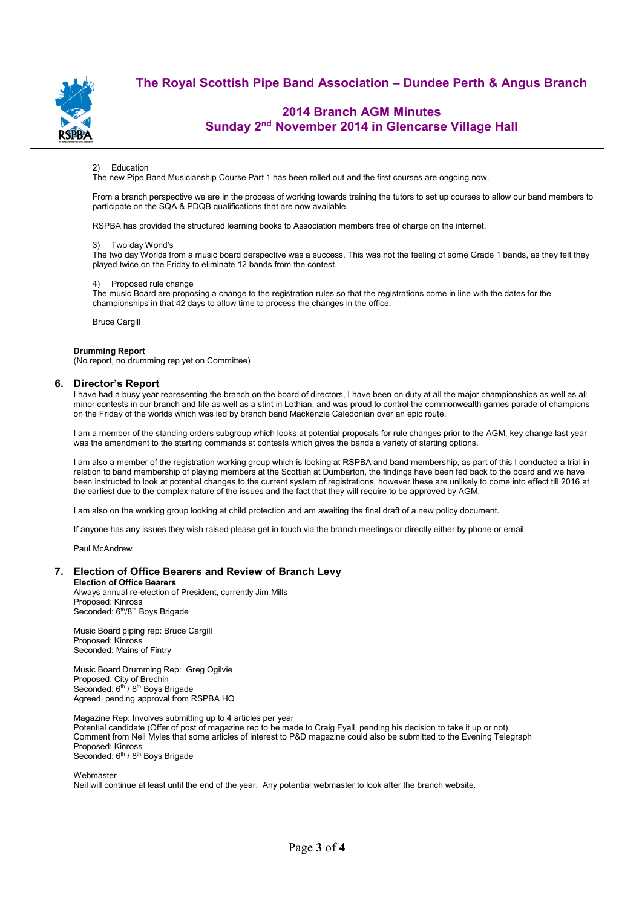

# **The Royal Scottish Pipe Band Association – Dundee Perth & Angus Branch**

# **2014 Branch AGM Minutes Sunday 2nd November 2014 in Glencarse Village Hall**

#### Education

The new Pipe Band Musicianship Course Part 1 has been rolled out and the first courses are ongoing now.

From a branch perspective we are in the process of working towards training the tutors to set up courses to allow our band members to participate on the SQA & PDQB qualifications that are now available.

RSPBA has provided the structured learning books to Association members free of charge on the internet.

#### 3) Two day World's

The two day Worlds from a music board perspective was a success. This was not the feeling of some Grade 1 bands, as they felt they played twice on the Friday to eliminate 12 bands from the contest.

### 4) Proposed rule change

The music Board are proposing a change to the registration rules so that the registrations come in line with the dates for the championships in that 42 days to allow time to process the changes in the office.

Bruce Cargill

#### **Drumming Report**

(No report, no drumming rep yet on Committee)

### **6. Director's Report**

I have had a busy year representing the branch on the board of directors, I have been on duty at all the major championships as well as all minor contests in our branch and fife as well as a stint in Lothian, and was proud to control the commonwealth games parade of champions on the Friday of the worlds which was led by branch band Mackenzie Caledonian over an epic route.

I am a member of the standing orders subgroup which looks at potential proposals for rule changes prior to the AGM, key change last year was the amendment to the starting commands at contests which gives the bands a variety of starting options.

I am also a member of the registration working group which is looking at RSPBA and band membership, as part of this I conducted a trial in relation to band membership of playing members at the Scottish at Dumbarton, the findings have been fed back to the board and we have been instructed to look at potential changes to the current system of registrations, however these are unlikely to come into effect till 2016 at the earliest due to the complex nature of the issues and the fact that they will require to be approved by AGM.

I am also on the working group looking at child protection and am awaiting the final draft of a new policy document.

If anyone has any issues they wish raised please get in touch via the branch meetings or directly either by phone or email

Paul McAndrew

### **7. Election of Office Bearers and Review of Branch Levy**

**Election of Office Bearers**  Always annual re-election of President, currently Jim Mills Proposed: Kinross Seconded: 6<sup>th</sup>/8<sup>th</sup> Boys Brigade

Music Board piping rep: Bruce Cargill Proposed: Kinross Seconded: Mains of Fintry

Music Board Drumming Rep: Greg Ogilvie Proposed: City of Brechin Seconded: 6<sup>th</sup> / 8<sup>th</sup> Boys Brigade Agreed, pending approval from RSPBA HQ

Magazine Rep: Involves submitting up to 4 articles per year

Potential candidate (Offer of post of magazine rep to be made to Craig Fyall, pending his decision to take it up or not) Comment from Neil Myles that some articles of interest to P&D magazine could also be submitted to the Evening Telegraph Proposed: Kinross

Seconded: 6<sup>th</sup> / 8<sup>th</sup> Boys Brigade

Webmaster

Neil will continue at least until the end of the year. Any potential webmaster to look after the branch website.